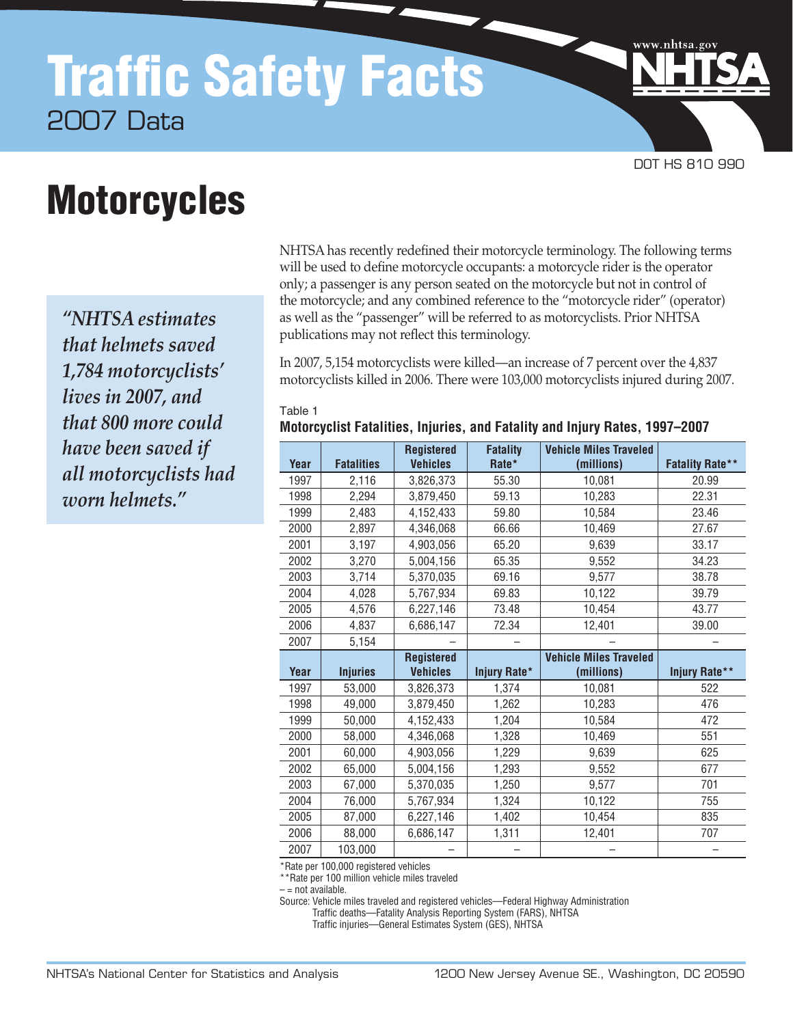# Traffic Safety Facts 2007 Data

# **Motorcycles**

*"NHTSA estimates that helmets saved 1,784 motorcyclists' lives in 2007, and that 800 more could have been saved if all motorcyclists had worn helmets."*

NHTSA has recently redefined their motorcycle terminology. The following terms will be used to define motorcycle occupants: a motorcycle rider is the operator only; a passenger is any person seated on the motorcycle but not in control of the motorcycle; and any combined reference to the "motorcycle rider" (operator) as well as the "passenger" will be referred to as motorcyclists. Prior NHTSA publications may not reflect this terminology.

DOT HS 810 990

www.nhtsa.go

In 2007, 5,154 motorcyclists were killed—an increase of 7 percent over the 4,837 motorcyclists killed in 2006. There were 103,000 motorcyclists injured during 2007.

#### Table 1

**Motorcyclist Fatalities, Injuries, and Fatality and Injury Rates, 1997–2007**

|      |                   | <b>Registered</b> | <b>Fatality</b> | <b>Vehicle Miles Traveled</b> |                        |
|------|-------------------|-------------------|-----------------|-------------------------------|------------------------|
| Year | <b>Fatalities</b> | <b>Vehicles</b>   | Rate*           | (millions)                    | <b>Fatality Rate**</b> |
| 1997 | 2,116             | 3,826,373         | 55.30           | 10,081                        | 20.99                  |
| 1998 | 2,294             | 3,879,450         | 59.13           | 10,283                        | 22.31                  |
| 1999 | 2,483             | 4,152,433         | 59.80           | 10,584                        | 23.46                  |
| 2000 | 2,897             | 4,346,068         | 66.66           | 10,469                        | 27.67                  |
| 2001 | 3,197             | 4,903,056         | 65.20           | 9,639                         | 33.17                  |
| 2002 | 3,270             | 5,004,156         | 65.35           | 9,552                         | 34.23                  |
| 2003 | 3,714             | 5,370,035         | 69.16           | 9,577                         | 38.78                  |
| 2004 | 4,028             | 5,767,934         | 69.83           | 10,122                        | 39.79                  |
| 2005 | 4,576             | 6,227,146         | 73.48           | 10,454                        | 43.77                  |
| 2006 | 4,837             | 6,686,147         | 72.34           | 12,401                        | 39.00                  |
| 2007 | 5,154             |                   |                 |                               |                        |
|      |                   | <b>Registered</b> |                 | <b>Vehicle Miles Traveled</b> |                        |
| Year | <b>Injuries</b>   | <b>Vehicles</b>   | Injury Rate*    | (millions)                    | Injury Rate**          |
|      |                   |                   |                 |                               |                        |
| 1997 | 53,000            | 3,826,373         | 1,374           | 10,081                        | 522                    |
| 1998 | 49,000            | 3,879,450         | 1,262           | 10,283                        | 476                    |
| 1999 | 50,000            | 4,152,433         | 1,204           | 10,584                        | 472                    |
| 2000 | 58,000            | 4,346,068         | 1,328           | 10,469                        | 551                    |
| 2001 | 60,000            | 4,903,056         | 1,229           | 9,639                         | 625                    |
| 2002 | 65,000            | 5,004,156         | 1,293           | 9,552                         | 677                    |
| 2003 | 67,000            | 5,370,035         | 1,250           | 9,577                         | 701                    |
| 2004 | 76,000            | 5,767,934         | 1,324           | 10,122                        | 755                    |
| 2005 | 87,000            | 6,227,146         | 1,402           | 10,454                        | 835                    |
| 2006 | 88,000            | 6,686,147         | 1,311           | 12,401                        | 707                    |

\*Rate per 100,000 registered vehicles

\*\*Rate per 100 million vehicle miles traveled

 $-$  = not available.

Source: Vehicle miles traveled and registered vehicles—Federal Highway Administration

Traffic deaths—Fatality Analysis Reporting System (FARS), NHTSA

Traffic injuries—General Estimates System (GES), NHTSA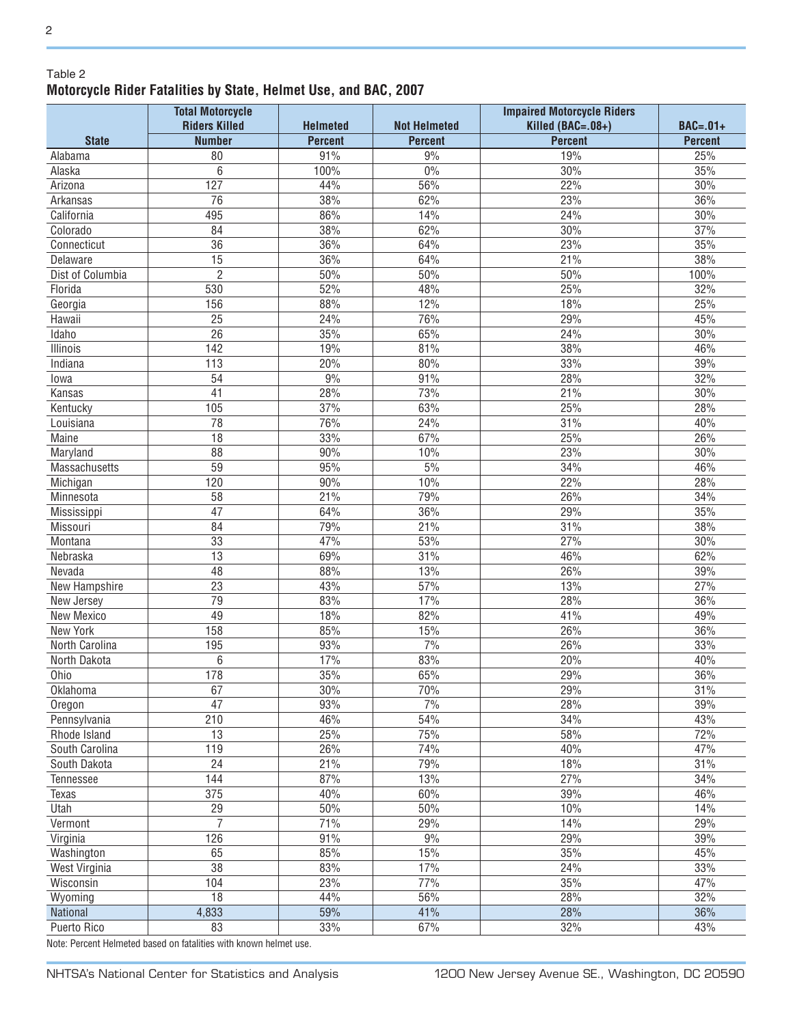### Table 2 **Motorcycle Rider Fatalities by State, Helmet Use, and BAC, 2007**

|                  | <b>Total Motorcycle</b><br><b>Riders Killed</b> | <b>Helmeted</b> | <b>Not Helmeted</b> | <b>Impaired Motorcycle Riders</b><br>Killed (BAC=.08+) | <b>BAC=.01+</b> |
|------------------|-------------------------------------------------|-----------------|---------------------|--------------------------------------------------------|-----------------|
| <b>State</b>     | <b>Number</b>                                   | <b>Percent</b>  | <b>Percent</b>      | <b>Percent</b>                                         | <b>Percent</b>  |
| Alabama          | 80                                              | 91%             | 9%                  | 19%                                                    | 25%             |
| Alaska           | 6                                               | 100%            | $0\%$               | 30%                                                    | 35%             |
| Arizona          | 127                                             | 44%             | 56%                 | 22%                                                    | 30%             |
| Arkansas         | 76                                              | 38%             | 62%                 | 23%                                                    | 36%             |
| California       | 495                                             | 86%             | 14%                 | 24%                                                    | 30%             |
| Colorado         | 84                                              | 38%             | 62%                 | 30%                                                    | 37%             |
| Connecticut      | 36                                              | 36%             | 64%                 | 23%                                                    | 35%             |
| Delaware         | $\overline{15}$                                 | 36%             | 64%                 | 21%                                                    | 38%             |
| Dist of Columbia | $\overline{2}$                                  | 50%             | $50\%$              | 50%                                                    | 100%            |
| Florida          | 530                                             | 52%             | 48%                 | 25%                                                    | 32%             |
| Georgia          | 156                                             | 88%             | 12%                 | 18%                                                    | 25%             |
| Hawaii           | $\overline{25}$                                 | 24%             | 76%                 | 29%                                                    | 45%             |
| Idaho            | 26                                              | 35%             | 65%                 | 24%                                                    | 30%             |
| Illinois         | 142                                             | 19%             | 81%                 | 38%                                                    | 46%             |
| Indiana          | 113                                             | 20%             | 80%                 | 33%                                                    | 39%             |
| lowa             | 54                                              | 9%              | 91%                 | 28%                                                    | 32%             |
| Kansas           | 41                                              | 28%             | 73%                 | 21%                                                    | 30%             |
| Kentucky         | 105                                             | 37%             | 63%                 | 25%                                                    | 28%             |
| Louisiana        | 78                                              | 76%             | 24%                 | 31%                                                    | 40%             |
| Maine            | 18                                              | 33%             | 67%                 | 25%                                                    | 26%             |
| Maryland         | 88                                              | 90%             | 10%                 | 23%                                                    | 30%             |
| Massachusetts    | 59                                              | 95%             | 5%                  | 34%                                                    | 46%             |
| Michigan         | 120                                             | 90%             | 10%                 | 22%                                                    | 28%             |
| Minnesota        | 58                                              | 21%             | 79%                 | 26%                                                    | 34%             |
| Mississippi      | 47                                              | 64%             | 36%                 | 29%                                                    | 35%             |
| Missouri         | 84                                              | 79%             | 21%                 | 31%                                                    | 38%             |
| Montana          | 33                                              | 47%             | 53%                 | 27%                                                    | 30%             |
| Nebraska         | 13                                              | 69%             | 31%                 | 46%                                                    | 62%             |
| Nevada           | 48                                              | 88%             | 13%                 | 26%                                                    | 39%             |
| New Hampshire    | 23                                              | 43%             | 57%                 | 13%                                                    | 27%             |
| New Jersey       | 79                                              | 83%             | 17%                 | 28%                                                    | 36%             |
| New Mexico       | 49                                              | 18%             | 82%                 | 41%                                                    | 49%             |
| New York         | 158                                             | 85%             | 15%                 | 26%                                                    | 36%             |
| North Carolina   | 195                                             | 93%             | 7%                  | 26%                                                    | 33%             |
| North Dakota     | 6                                               | 17%             | 83%                 | 20%                                                    | 40%             |
| Ohio             | 178                                             | 35%             | 65%                 | 29%                                                    | 36%             |
| Oklahoma         | 67                                              | 30%             | 70%                 | 29%                                                    | 31%             |
| Oregon           | $\overline{47}$                                 | 93%             | 7%                  | 28%                                                    | 39%             |
| Pennsylvania     | 210                                             | 46%             | 54%                 | 34%                                                    | 43%             |
| Rhode Island     | 13                                              | 25%             | 75%                 | 58%                                                    | 72%             |
| South Carolina   | 119                                             | 26%             | 74%                 | 40%                                                    | 47%             |
| South Dakota     | $\overline{24}$                                 | 21%             | 79%                 | 18%                                                    | 31%             |
| Tennessee        | 144                                             | 87%             | 13%                 | 27%                                                    | 34%             |
| Texas            | 375                                             | 40%             | 60%                 | 39%                                                    | 46%             |
| Utah             | 29                                              | 50%             | 50%                 | 10%                                                    | 14%             |
| Vermont          | $\overline{7}$                                  | 71%             | 29%                 | 14%                                                    | 29%             |
| Virginia         | 126                                             | 91%             | 9%                  | 29%                                                    | 39%             |
| Washington       | 65                                              | 85%             | 15%                 | 35%                                                    | 45%             |
| West Virginia    | $\overline{38}$                                 | 83%             | 17%                 | 24%                                                    | 33%             |
| Wisconsin        | 104                                             | 23%             | 77%                 | 35%                                                    | 47%             |
| Wyoming          | 18                                              | 44%             | 56%                 | 28%                                                    | 32%             |
| National         | 4,833                                           | 59%             | 41%                 | 28%                                                    | 36%             |
| Puerto Rico      | 83                                              | $33\%$          | 67%                 | 32%                                                    | 43%             |
|                  |                                                 |                 |                     |                                                        |                 |

Note: Percent Helmeted based on fatalities with known helmet use.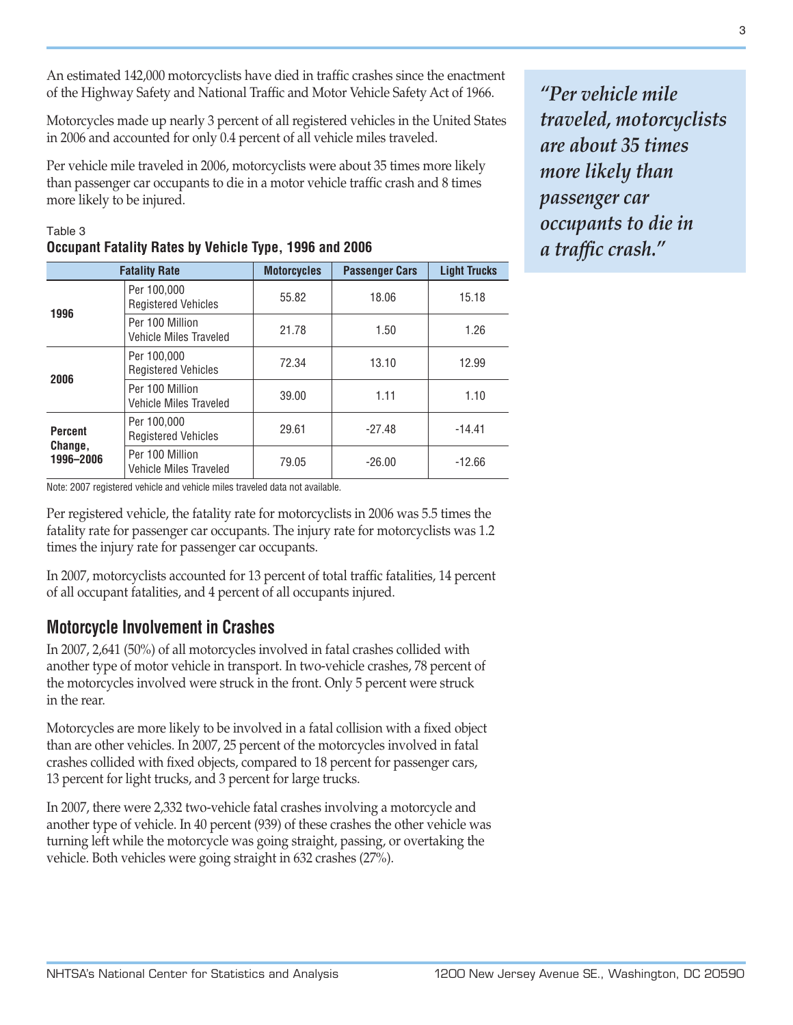An estimated 142,000 motorcyclists have died in traffic crashes since the enactment of the Highway Safety and National Traffic and Motor Vehicle Safety Act of 1966.

Motorcycles made up nearly 3 percent of all registered vehicles in the United States in 2006 and accounted for only 0.4 percent of all vehicle miles traveled.

Per vehicle mile traveled in 2006, motorcyclists were about 35 times more likely than passenger car occupants to die in a motor vehicle traffic crash and 8 times more likely to be injured.

| <b>Fatality Rate</b>                   |                                                  | <b>Motorcycles</b> | <b>Passenger Cars</b> | <b>Light Trucks</b> |
|----------------------------------------|--------------------------------------------------|--------------------|-----------------------|---------------------|
| 1996                                   | Per 100,000<br><b>Registered Vehicles</b>        | 55.82              | 18.06                 | 15.18               |
|                                        | Per 100 Million<br>Vehicle Miles Traveled        | 21.78              | 1.50                  | 1.26                |
| 2006                                   | Per 100,000<br><b>Registered Vehicles</b>        | 72.34              | 13.10                 | 12.99               |
|                                        | Per 100 Million<br><b>Vehicle Miles Traveled</b> | 39.00              | 1.11                  | 1.10                |
| <b>Percent</b><br>Change,<br>1996-2006 | Per 100,000<br><b>Registered Vehicles</b>        | 29.61              | $-27.48$              | $-14.41$            |
|                                        | Per 100 Million<br>Vehicle Miles Traveled        | 79.05              | $-26.00$              | $-12.66$            |

## Table 3 **Occupant Fatality Rates by Vehicle Type, 1996 and 2006**

Note: 2007 registered vehicle and vehicle miles traveled data not available.

Per registered vehicle, the fatality rate for motorcyclists in 2006 was 5.5 times the fatality rate for passenger car occupants. The injury rate for motorcyclists was 1.2 times the injury rate for passenger car occupants.

In 2007, motorcyclists accounted for 13 percent of total traffic fatalities, 14 percent of all occupant fatalities, and 4 percent of all occupants injured.

## **Motorcycle Involvement in Crashes**

In 2007, 2,641 (50%) of all motorcycles involved in fatal crashes collided with another type of motor vehicle in transport. In two-vehicle crashes, 78 percent of the motorcycles involved were struck in the front. Only 5 percent were struck in the rear.

Motorcycles are more likely to be involved in a fatal collision with a fixed object than are other vehicles. In 2007, 25 percent of the motorcycles involved in fatal crashes collided with fixed objects, compared to 18 percent for passenger cars, 13 percent for light trucks, and 3 percent for large trucks.

In 2007, there were 2,332 two-vehicle fatal crashes involving a motorcycle and another type of vehicle. In 40 percent (939) of these crashes the other vehicle was turning left while the motorcycle was going straight, passing, or overtaking the vehicle. Both vehicles were going straight in 632 crashes (27%).

*"Per vehicle mile traveled, motorcyclists are about 35 times more likely than passenger car occupants to die in a traffic crash."*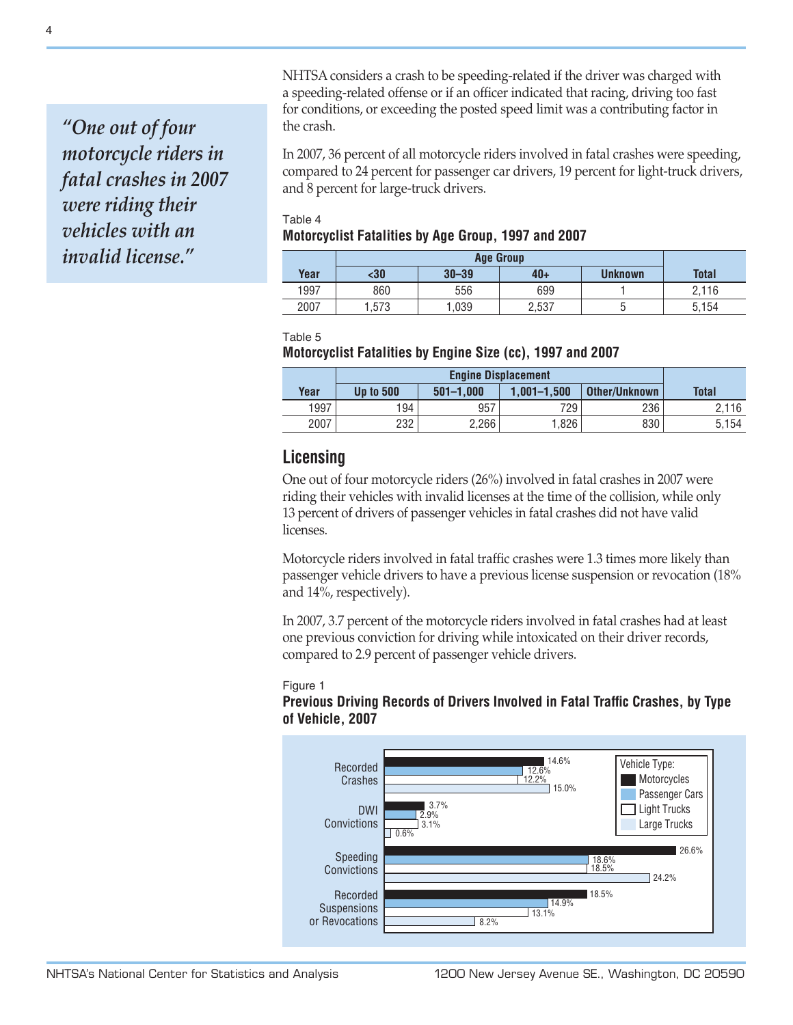*"One out of four motorcycle riders in fatal crashes in 2007 were riding their vehicles with an invalid license."*

NHTSA considers a crash to be speeding-related if the driver was charged with a speeding-related offense or if an officer indicated that racing, driving too fast for conditions, or exceeding the posted speed limit was a contributing factor in the crash.

In 2007, 36 percent of all motorcycle riders involved in fatal crashes were speeding, compared to 24 percent for passenger car drivers, 19 percent for light-truck drivers, and 8 percent for large-truck drivers.

#### Table 4 **Motorcyclist Fatalities by Age Group, 1997 and 2007**

|      | <b>Age Group</b> |           |       |         |              |
|------|------------------|-----------|-------|---------|--------------|
| Year | $30$             | $30 - 39$ | $40+$ | Unknown | <b>Total</b> |
| 1997 | 860              | 556       | 699   |         | 2.116        |
| 2007 | .573             | ,039      | 2,537 | ∽<br>ч  | 5,154        |

Table 5

#### **Motorcyclist Fatalities by Engine Size (cc), 1997 and 2007**

| Year | <b>Up to 500</b> | $501 - 1.000$ | $1.001 - 1.500$ | Other/Unknown | <b>Total</b> |
|------|------------------|---------------|-----------------|---------------|--------------|
| 1997 | 194              | 957           | 729             | 236           | 2.116        |
| 2007 | 232              | 2,266         | .826            | 830           | 5.154        |

# **Licensing**

One out of four motorcycle riders (26%) involved in fatal crashes in 2007 were riding their vehicles with invalid licenses at the time of the collision, while only 13 percent of drivers of passenger vehicles in fatal crashes did not have valid licenses.

Motorcycle riders involved in fatal traffic crashes were 1.3 times more likely than passenger vehicle drivers to have a previous license suspension or revocation (18% and 14%, respectively).

In 2007, 3.7 percent of the motorcycle riders involved in fatal crashes had at least one previous conviction for driving while intoxicated on their driver records, compared to 2.9 percent of passenger vehicle drivers.

#### Figure 1

### **Previous Driving Records of Drivers Involved in Fatal Traffic Crashes, by Type of Vehicle, 2007**

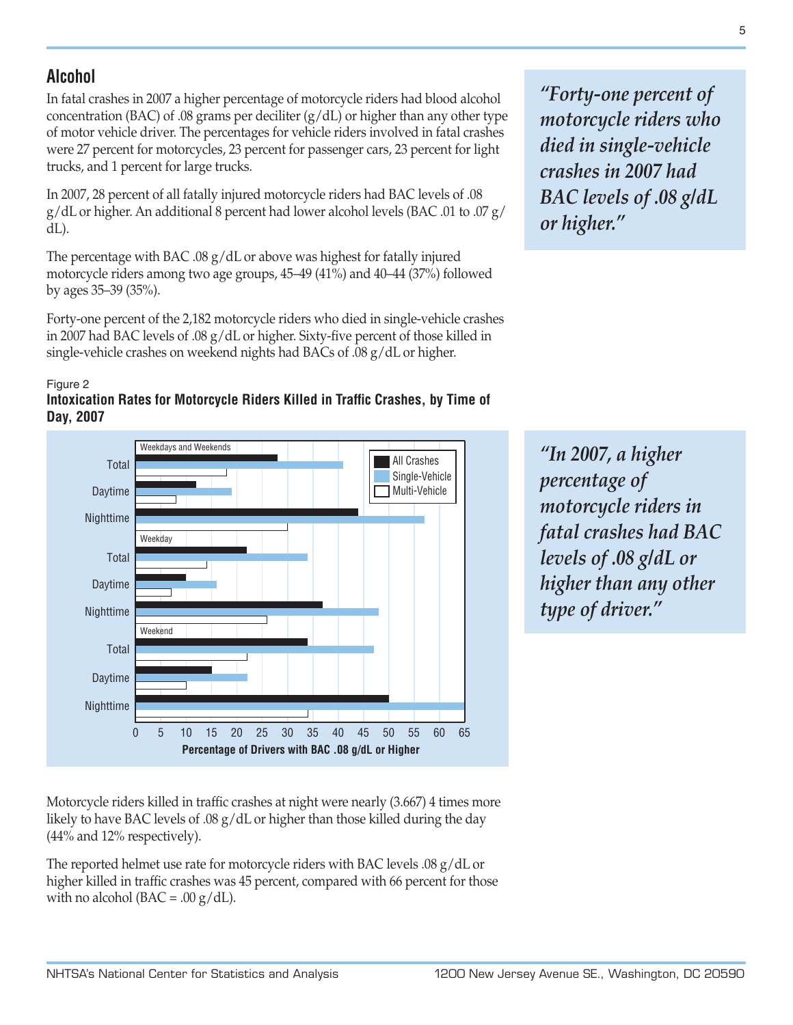# **Alcohol**

In fatal crashes in 2007 a higher percentage of motorcycle riders had blood alcohol concentration (BAC) of .08 grams per deciliter  $(g/dL)$  or higher than any other type of motor vehicle driver. The percentages for vehicle riders involved in fatal crashes were 27 percent for motorcycles, 23 percent for passenger cars, 23 percent for light trucks, and 1 percent for large trucks.

In 2007, 28 percent of all fatally injured motorcycle riders had BAC levels of .08 g/dL or higher. An additional 8 percent had lower alcohol levels (BAC .01 to .07 g/ dL).

The percentage with BAC .08  $g/dL$  or above was highest for fatally injured motorcycle riders among two age groups, 45–49 (41%) and 40–44 (37%) followed by ages 35–39 (35%).

Forty-one percent of the 2,182 motorcycle riders who died in single-vehicle crashes in 2007 had BAC levels of .08 g/dL or higher. Sixty-five percent of those killed in single-vehicle crashes on weekend nights had BACs of .08 g/dL or higher.





*"Forty-one percent of motorcycle riders who died in single-vehicle crashes in 2007 had BAC levels of .08 g/dL or higher."* 

*"In 2007, a higher percentage of motorcycle riders in fatal crashes had BAC levels of .08 g/dL or higher than any other type of driver."* 

Motorcycle riders killed in traffic crashes at night were nearly (3.667) 4 times more likely to have BAC levels of .08 g/dL or higher than those killed during the day (44% and 12% respectively).

The reported helmet use rate for motorcycle riders with BAC levels .08 g/dL or higher killed in traffic crashes was 45 percent, compared with 66 percent for those with no alcohol ( $BAC = .00 \text{ g}/dL$ ).